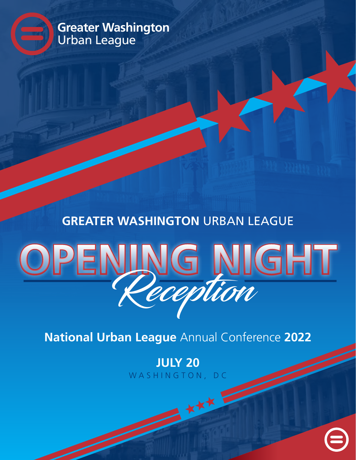Urban League **Greater Washington**

## **GREATER WASHINGTON** URBAN LEAGUE

## VG NIGHT

**National Urban League** Annual Conference **2022**

WASHINGTON, DC **JULY 20**

XXX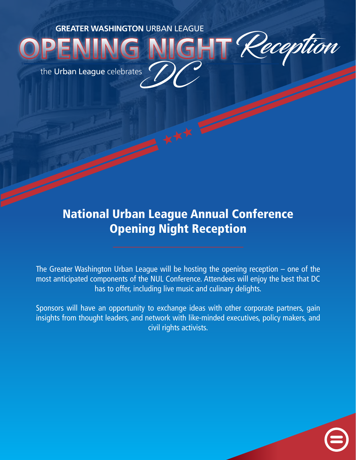the Urban League celebrates DC

## National Urban League Annual Conference Opening Night Reception

Reception

The Greater Washington Urban League will be hosting the opening reception  $-$  one of the most anticipated components of the NUL Conference. Attendees will enjoy the best that DC has to offer, including live music and culinary delights.

Sponsors will have an opportunity to exchange ideas with other corporate partners, gain insights from thought leaders, and network with like-minded executives, policy makers, and civil rights activists.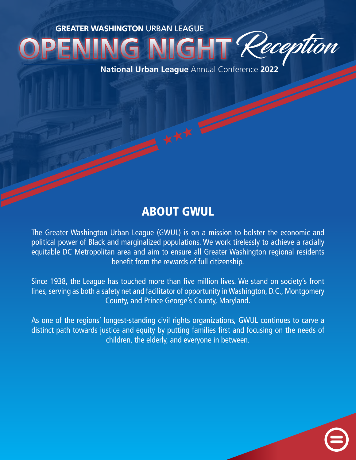IGHT Reception

**National Urban League** Annual Conference **2022**

## ABOUT GWUL

The Greater Washington Urban League (GWUL) is on a mission to bolster the economic and political power of Black and marginalized populations. We work tirelessly to achieve a racially equitable DC Metropolitan area and aim to ensure all Greater Washington regional residents benefit from the rewards of full citizenship.

Since 1938, the League has touched more than five million lives. We stand on society's front lines, serving as both a safety net and facilitator of opportunity in Washington, D.C., Montgomery County, and Prince George's County, Maryland.

As one of the regions' longest-standing civil rights organizations, GWUL continues to carve a distinct path towards justice and equity by putting families first and focusing on the needs of children, the elderly, and everyone in between.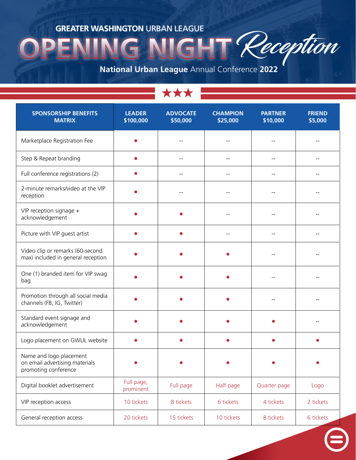Reception **SF** 

**National Urban League** Annual Conference **2022**

| <b>SPONSORSHIP BENEFITS</b><br><b>MATRIX</b>                                      | <b>LEADER</b><br>\$100,000 | <b>ADVOCATE</b><br>\$50,000 | <b>CHAMPION</b><br>\$25,000 | <b>PARTNER</b><br>\$10,000 | <b>FRIEND</b><br>\$5,000 |
|-----------------------------------------------------------------------------------|----------------------------|-----------------------------|-----------------------------|----------------------------|--------------------------|
| Marketplace Registration Fee                                                      |                            |                             |                             |                            |                          |
| Step & Repeat branding                                                            |                            | --                          | $-$                         | --                         |                          |
| Full conference registrations (2)                                                 |                            | --                          | $-$                         |                            | --                       |
| 2-minute remarks/video at the VIP<br>reception                                    |                            |                             |                             |                            |                          |
| VIP reception signage +<br>acknowledgement                                        |                            |                             |                             |                            |                          |
| Picture with VIP guest artist                                                     |                            |                             |                             |                            |                          |
| Video clip or remarks (60-second<br>max) included in general reception            |                            |                             |                             |                            |                          |
| One (1) branded item for VIP swag<br>bag                                          |                            |                             |                             |                            |                          |
| Promotion through all social media<br>channels (FB, IG, Twitter)                  |                            |                             |                             |                            |                          |
| Standard event signage and<br>acknowledgement                                     |                            |                             |                             |                            |                          |
| Logo placement on GWUL website                                                    |                            |                             |                             |                            |                          |
| Name and logo placement<br>on email advertising materials<br>promoting conference |                            |                             |                             |                            |                          |
| Digital booklet advertisement                                                     | Full page,<br>prominent    | Full page                   | Half page                   | Quarter page               | Logo                     |
| VIP reception access                                                              | 10 tickets                 | 8 tickets                   | 6 tickets                   | 4 tickets                  | 2 tickets                |
| General reception access                                                          | 20 tickets                 | 15 tickets                  | 10 tickets                  | 8 tickets                  | 6 tickets                |